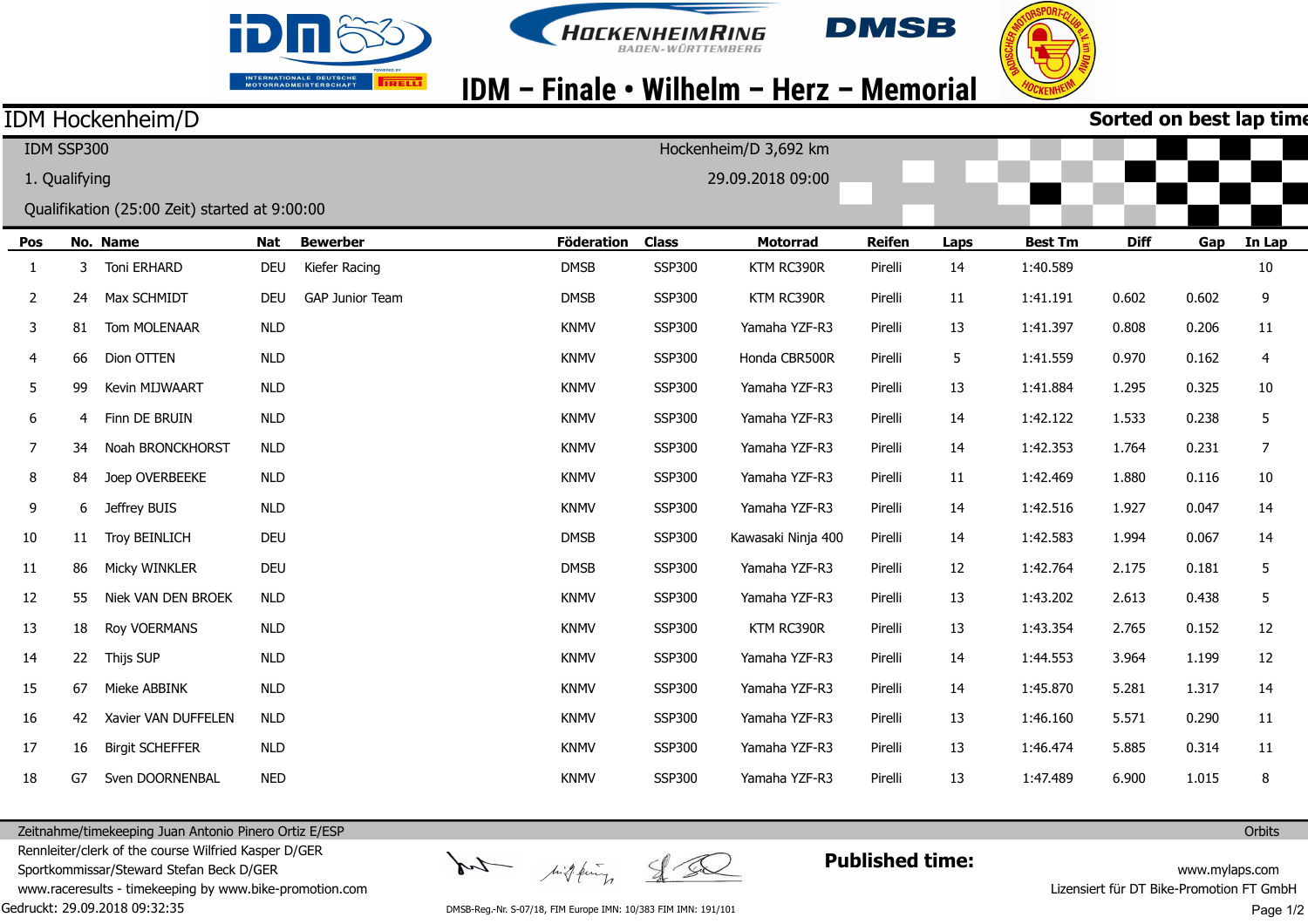





## IDM - Finale • Wilhelm - Herz - Memorial

### IDM Hockenheim/D

| Sorted on best lap time |  |  |
|-------------------------|--|--|

| IDM SSP300    |    |                                               |            |                 |                   |               | Hockenheim/D 3,692 km |               |      |                |             |       |                |
|---------------|----|-----------------------------------------------|------------|-----------------|-------------------|---------------|-----------------------|---------------|------|----------------|-------------|-------|----------------|
| 1. Qualifying |    |                                               |            |                 |                   |               | 29.09.2018 09:00      |               |      |                |             |       |                |
|               |    | Qualifikation (25:00 Zeit) started at 9:00:00 |            |                 |                   |               |                       |               |      |                |             |       |                |
| Pos           |    | No. Name                                      | <b>Nat</b> | <b>Bewerber</b> | <b>Föderation</b> | <b>Class</b>  | <b>Motorrad</b>       | <b>Reifen</b> | Laps | <b>Best Tm</b> | <b>Diff</b> | Gap   | In Lap         |
| $\mathbf{1}$  | 3  | Toni ERHARD                                   | <b>DEU</b> | Kiefer Racing   | <b>DMSB</b>       | <b>SSP300</b> | KTM RC390R            | Pirelli       | 14   | 1:40.589       |             |       | 10             |
| 2             | 24 | Max SCHMIDT                                   | <b>DEU</b> | GAP Junior Team | <b>DMSB</b>       | <b>SSP300</b> | KTM RC390R            | Pirelli       | 11   | 1:41.191       | 0.602       | 0.602 | 9              |
| 3             | 81 | Tom MOLENAAR                                  | <b>NLD</b> |                 | <b>KNMV</b>       | <b>SSP300</b> | Yamaha YZF-R3         | Pirelli       | 13   | 1:41.397       | 0.808       | 0.206 | 11             |
| 4             | 66 | Dion OTTEN                                    | <b>NLD</b> |                 | <b>KNMV</b>       | <b>SSP300</b> | Honda CBR500R         | Pirelli       | 5    | 1:41.559       | 0.970       | 0.162 | $\overline{4}$ |
| 5             | 99 | Kevin MIJWAART                                | <b>NLD</b> |                 | <b>KNMV</b>       | <b>SSP300</b> | Yamaha YZF-R3         | Pirelli       | 13   | 1:41.884       | 1.295       | 0.325 | 10             |
| 6             | 4  | Finn DE BRUIN                                 | <b>NLD</b> |                 | <b>KNMV</b>       | <b>SSP300</b> | Yamaha YZF-R3         | Pirelli       | 14   | 1:42.122       | 1.533       | 0.238 | 5              |
| 7             | 34 | Noah BRONCKHORST                              | <b>NLD</b> |                 | <b>KNMV</b>       | <b>SSP300</b> | Yamaha YZF-R3         | Pirelli       | 14   | 1:42.353       | 1.764       | 0.231 | 7              |
| 8             | 84 | Joep OVERBEEKE                                | <b>NLD</b> |                 | <b>KNMV</b>       | <b>SSP300</b> | Yamaha YZF-R3         | Pirelli       | 11   | 1:42.469       | 1.880       | 0.116 | $10\,$         |
| 9             | 6  | Jeffrey BUIS                                  | <b>NLD</b> |                 | <b>KNMV</b>       | <b>SSP300</b> | Yamaha YZF-R3         | Pirelli       | 14   | 1:42.516       | 1.927       | 0.047 | 14             |
| 10            | 11 | <b>Troy BEINLICH</b>                          | <b>DEU</b> |                 | <b>DMSB</b>       | <b>SSP300</b> | Kawasaki Ninja 400    | Pirelli       | 14   | 1:42.583       | 1.994       | 0.067 | 14             |
| 11            | 86 | Micky WINKLER                                 | <b>DEU</b> |                 | <b>DMSB</b>       | <b>SSP300</b> | Yamaha YZF-R3         | Pirelli       | 12   | 1:42.764       | 2.175       | 0.181 | 5              |
| 12            | 55 | Niek VAN DEN BROEK                            | <b>NLD</b> |                 | <b>KNMV</b>       | <b>SSP300</b> | Yamaha YZF-R3         | Pirelli       | 13   | 1:43.202       | 2.613       | 0.438 | 5              |
| 13            | 18 | Roy VOERMANS                                  | <b>NLD</b> |                 | <b>KNMV</b>       | <b>SSP300</b> | KTM RC390R            | Pirelli       | 13   | 1:43.354       | 2.765       | 0.152 | 12             |
| 14            | 22 | Thijs SUP                                     | <b>NLD</b> |                 | <b>KNMV</b>       | <b>SSP300</b> | Yamaha YZF-R3         | Pirelli       | 14   | 1:44.553       | 3.964       | 1.199 | 12             |
| 15            | 67 | Mieke ABBINK                                  | <b>NLD</b> |                 | <b>KNMV</b>       | <b>SSP300</b> | Yamaha YZF-R3         | Pirelli       | 14   | 1:45.870       | 5.281       | 1.317 | 14             |
| 16            | 42 | Xavier VAN DUFFELEN                           | <b>NLD</b> |                 | <b>KNMV</b>       | <b>SSP300</b> | Yamaha YZF-R3         | Pirelli       | 13   | 1:46.160       | 5.571       | 0.290 | 11             |
| 17            | 16 | <b>Birgit SCHEFFER</b>                        | <b>NLD</b> |                 | <b>KNMV</b>       | <b>SSP300</b> | Yamaha YZF-R3         | Pirelli       | 13   | 1:46.474       | 5.885       | 0.314 | 11             |
| 18            | G7 | Sven DOORNENBAL                               | <b>NED</b> |                 | <b>KNMV</b>       | <b>SSP300</b> | Yamaha YZF-R3         | Pirelli       | 13   | 1:47.489       | 6.900       | 1.015 | 8              |

Zeitnahme/timekeeping Juan Antonio Pinero Ortiz E/ESP Rennleiter/clerk of the course Wilfried Kasper D/GER

Sportkommissar/Steward Stefan Beck D/GER

Gedruckt: 29.09.2018 09:32:35 www.raceresults - timekeeping by www.bike-promotion.com

DMSB-Reg.-Nr. S-07/18, FIM Europe IMN: 10/383 FIM IMN: 191/101

high fing

ty

**Published time:**

www.mylaps.com Lizensiert für DT Bike-Promotion FT GmbH Page 1/2

**Orbits**